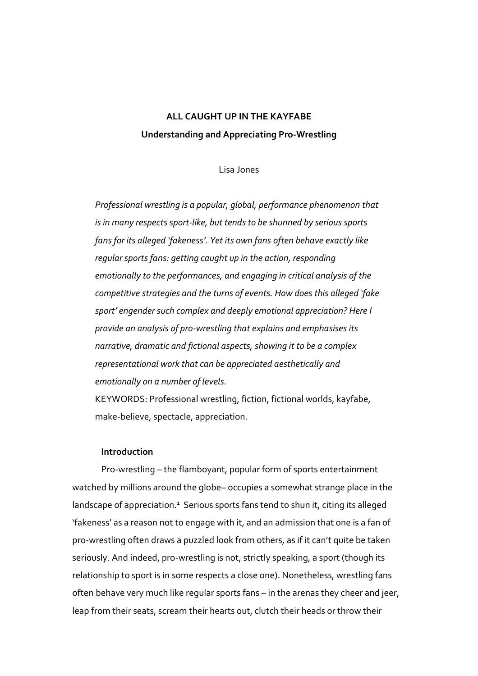# **ALL CAUGHT UP IN THE KAYFABE Understanding and Appreciating Pro-Wrestling**

Lisa Jones

*Professional wrestling is a popular, global, performance phenomenon that is in many respects sport-like, but tends to be shunned by serious sports fans for its alleged 'fakeness'. Yet its own fans often behave exactly like regular sports fans: getting caught up in the action, responding emotionally to the performances, and engaging in critical analysis of the competitive strategies and the turns of events. How does this alleged 'fake sport' engender such complex and deeply emotional appreciation? Here I provide an analysis of pro-wrestling that explains and emphasises its narrative, dramatic and fictional aspects, showing it to be a complex representational work that can be appreciated aesthetically and emotionally on a number of levels.* 

KEYWORDS: Professional wrestling, fiction, fictional worlds, kayfabe, make-believe, spectacle, appreciation.

## **Introduction**

Pro-wrestling – the flamboyant, popular form of sports entertainment watched by millions around the globe– occupies a somewhat strange place in the landscape of appreciation.<sup>1</sup> Serious sports fans tend to shun it, citing its alleged 'fakeness' as a reason not to engage with it, and an admission that one is a fan of pro-wrestling often draws a puzzled look from others, as if it can't quite be taken seriously. And indeed, pro-wrestling is not, strictly speaking, a sport (though its relationship to sport is in some respects a close one). Nonetheless, wrestling fans often behave very much like regular sports fans – in the arenas they cheer and jeer, leap from their seats, scream their hearts out, clutch their heads or throw their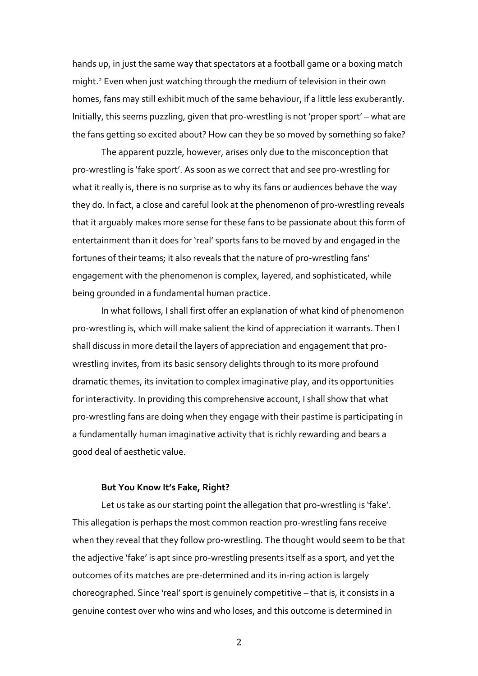hands up, in just the same way that spectators at a football game or a boxing match might.<sup>2</sup> Even when just watching through the medium of television in their own homes, fans may still exhibit much of the same behaviour, if a little less exuberantly. Initially, this seems puzzling, given that pro-wrestling is not 'proper sport' – what are the fans getting so excited about? How can they be so moved by something so fake?

The apparent puzzle, however, arises only due to the misconception that pro-wrestling is 'fake sport'. As soon as we correct that and see pro-wrestling for what it really is, there is no surprise as to why its fans or audiences behave the way they do. In fact, a close and careful look at the phenomenon of pro-wrestling reveals that it arguably makes more sense for these fans to be passionate about this form of entertainment than it does for 'real' sports fans to be moved by and engaged in the fortunes of their teams; it also reveals that the nature of pro-wrestling fans' engagement with the phenomenon is complex, layered, and sophisticated, while being grounded in a fundamental human practice.

In what follows, I shall first offer an explanation of what kind of phenomenon pro-wrestling is, which will make salient the kind of appreciation it warrants. Then I shall discuss in more detail the layers of appreciation and engagement that prowrestling invites, from its basic sensory delights through to its more profound dramatic themes, its invitation to complex imaginative play, and its opportunities for interactivity. In providing this comprehensive account, I shall show that what pro-wrestling fans are doing when they engage with their pastime is participating in a fundamentally human imaginative activity that is richly rewarding and bears a good deal of aesthetic value.

## **But You Know It's Fake, Right?**

Let us take as our starting point the allegation that pro-wrestling is 'fake'. This allegation is perhaps the most common reaction pro-wrestling fans receive when they reveal that they follow pro-wrestling. The thought would seem to be that the adjective 'fake' is apt since pro-wrestling presents itself as a sport, and yet the outcomes of its matches are pre-determined and its in-ring action is largely choreographed. Since 'real' sport is genuinely competitive – that is, it consists in a genuine contest over who wins and who loses, and this outcome is determined in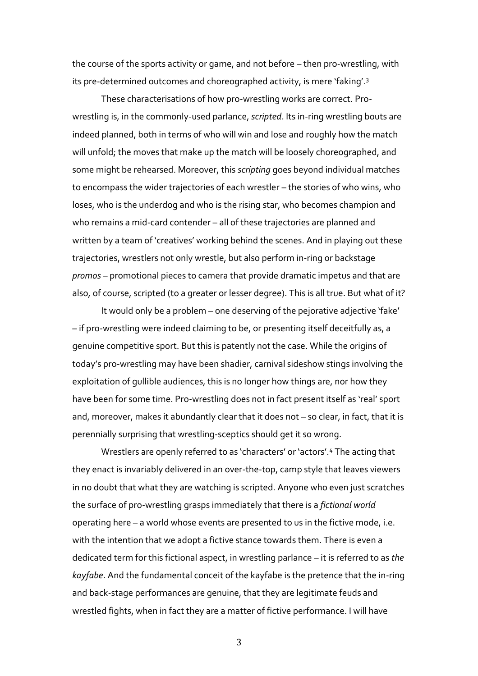the course of the sports activity or game, and not before – then pro-wrestling, with its pre-determined outcomes and choreographed activity, is mere 'faking'.<sup>3</sup>

These characterisations of how pro-wrestling works are correct. Prowrestling is, in the commonly-used parlance, *scripted*. Its in-ring wrestling bouts are indeed planned, both in terms of who will win and lose and roughly how the match will unfold; the moves that make up the match will be loosely choreographed, and some might be rehearsed. Moreover, this *scripting* goes beyond individual matches to encompass the wider trajectories of each wrestler – the stories of who wins, who loses, who is the underdog and who is the rising star, who becomes champion and who remains a mid-card contender – all of these trajectories are planned and written by a team of 'creatives' working behind the scenes. And in playing out these trajectories, wrestlers not only wrestle, but also perform in-ring or backstage *promos* – promotional pieces to camera that provide dramatic impetus and that are also, of course, scripted (to a greater or lesser degree). This is all true. But what of it?

It would only be a problem – one deserving of the pejorative adjective 'fake' – if pro-wrestling were indeed claiming to be, or presenting itself deceitfully as, a genuine competitive sport. But this is patently not the case. While the origins of today's pro-wrestling may have been shadier, carnival sideshow stings involving the exploitation of gullible audiences, this is no longer how things are, nor how they have been for some time. Pro-wrestling does not in fact present itself as 'real' sport and, moreover, makes it abundantly clear that it does not – so clear, in fact, that it is perennially surprising that wrestling-sceptics should get it so wrong.

Wrestlers are openly referred to as 'characters' or 'actors'.<sup>4</sup> The acting that they enact is invariably delivered in an over-the-top, camp style that leaves viewers in no doubt that what they are watching is scripted. Anyone who even just scratches the surface of pro-wrestling grasps immediately that there is a *fictional world* operating here – a world whose events are presented to us in the fictive mode, i.e. with the intention that we adopt a fictive stance towards them. There is even a dedicated term for this fictional aspect, in wrestling parlance – it is referred to as *the kayfabe*. And the fundamental conceit of the kayfabe is the pretence that the in-ring and back-stage performances are genuine, that they are legitimate feuds and wrestled fights, when in fact they are a matter of fictive performance. I will have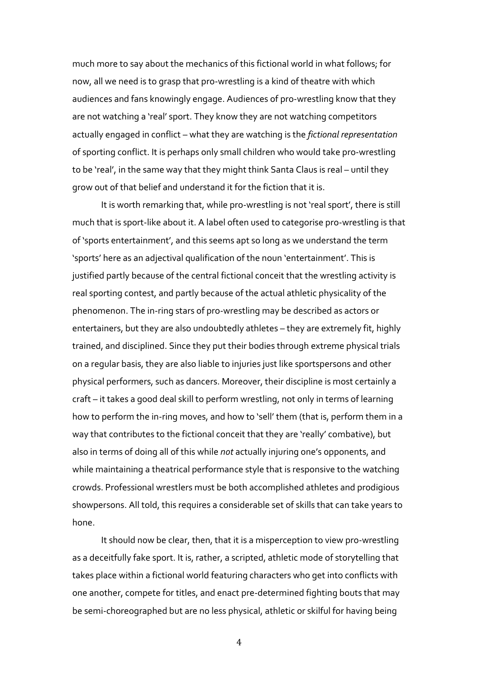much more to say about the mechanics of this fictional world in what follows; for now, all we need is to grasp that pro-wrestling is a kind of theatre with which audiences and fans knowingly engage. Audiences of pro-wrestling know that they are not watching a 'real' sport. They know they are not watching competitors actually engaged in conflict – what they are watching is the *fictional representation* of sporting conflict. It is perhaps only small children who would take pro-wrestling to be 'real', in the same way that they might think Santa Claus is real – until they grow out of that belief and understand it for the fiction that it is.

It is worth remarking that, while pro-wrestling is not 'real sport', there is still much that is sport-like about it. A label often used to categorise pro-wrestling is that of 'sports entertainment', and this seems apt so long as we understand the term 'sports' here as an adjectival qualification of the noun 'entertainment'. This is justified partly because of the central fictional conceit that the wrestling activity is real sporting contest, and partly because of the actual athletic physicality of the phenomenon. The in-ring stars of pro-wrestling may be described as actors or entertainers, but they are also undoubtedly athletes – they are extremely fit, highly trained, and disciplined. Since they put their bodies through extreme physical trials on a regular basis, they are also liable to injuries just like sportspersons and other physical performers, such as dancers. Moreover, their discipline is most certainly a craft – it takes a good deal skill to perform wrestling, not only in terms of learning how to perform the in-ring moves, and how to 'sell' them (that is, perform them in a way that contributes to the fictional conceit that they are 'really' combative), but also in terms of doing all of this while *not* actually injuring one's opponents, and while maintaining a theatrical performance style that is responsive to the watching crowds. Professional wrestlers must be both accomplished athletes and prodigious showpersons. All told, this requires a considerable set of skills that can take years to hone.

It should now be clear, then, that it is a misperception to view pro-wrestling as a deceitfully fake sport. It is, rather, a scripted, athletic mode of storytelling that takes place within a fictional world featuring characters who get into conflicts with one another, compete for titles, and enact pre-determined fighting bouts that may be semi-choreographed but are no less physical, athletic or skilful for having being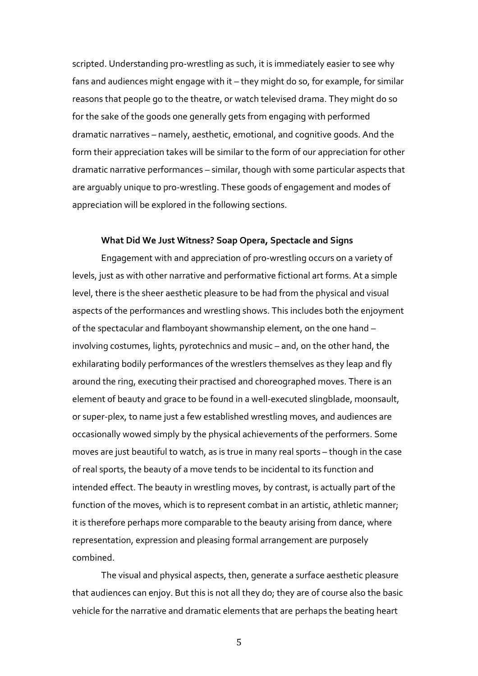scripted. Understanding pro-wrestling as such, it is immediately easier to see why fans and audiences might engage with it – they might do so, for example, for similar reasons that people go to the theatre, or watch televised drama. They might do so for the sake of the goods one generally gets from engaging with performed dramatic narratives – namely, aesthetic, emotional, and cognitive goods. And the form their appreciation takes will be similar to the form of our appreciation for other dramatic narrative performances – similar, though with some particular aspects that are arguably unique to pro-wrestling. These goods of engagement and modes of appreciation will be explored in the following sections.

#### **What Did We Just Witness? Soap Opera, Spectacle and Signs**

Engagement with and appreciation of pro-wrestling occurs on a variety of levels, just as with other narrative and performative fictional art forms. At a simple level, there is the sheer aesthetic pleasure to be had from the physical and visual aspects of the performances and wrestling shows. This includes both the enjoyment of the spectacular and flamboyant showmanship element, on the one hand – involving costumes, lights, pyrotechnics and music – and, on the other hand, the exhilarating bodily performances of the wrestlers themselves as they leap and fly around the ring, executing their practised and choreographed moves. There is an element of beauty and grace to be found in a well-executed slingblade, moonsault, or super-plex, to name just a few established wrestling moves, and audiences are occasionally wowed simply by the physical achievements of the performers. Some moves are just beautiful to watch, as is true in many real sports – though in the case of real sports, the beauty of a move tends to be incidental to its function and intended effect. The beauty in wrestling moves, by contrast, is actually part of the function of the moves, which is to represent combat in an artistic, athletic manner; it is therefore perhaps more comparable to the beauty arising from dance, where representation, expression and pleasing formal arrangement are purposely combined.

The visual and physical aspects, then, generate a surface aesthetic pleasure that audiences can enjoy. But this is not all they do; they are of course also the basic vehicle for the narrative and dramatic elements that are perhaps the beating heart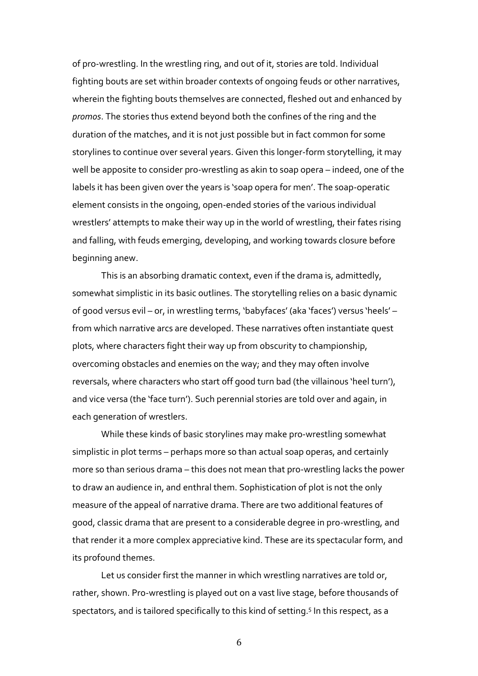of pro-wrestling. In the wrestling ring, and out of it, stories are told. Individual fighting bouts are set within broader contexts of ongoing feuds or other narratives, wherein the fighting bouts themselves are connected, fleshed out and enhanced by *promos*. The stories thus extend beyond both the confines of the ring and the duration of the matches, and it is not just possible but in fact common for some storylines to continue over several years. Given this longer-form storytelling, it may well be apposite to consider pro-wrestling as akin to soap opera – indeed, one of the labels it has been given over the years is 'soap opera for men'. The soap-operatic element consists in the ongoing, open-ended stories of the various individual wrestlers' attempts to make their way up in the world of wrestling, their fates rising and falling, with feuds emerging, developing, and working towards closure before beginning anew.

This is an absorbing dramatic context, even if the drama is, admittedly, somewhat simplistic in its basic outlines. The storytelling relies on a basic dynamic of good versus evil – or, in wrestling terms, 'babyfaces' (aka 'faces') versus 'heels' – from which narrative arcs are developed. These narratives often instantiate quest plots, where characters fight their way up from obscurity to championship, overcoming obstacles and enemies on the way; and they may often involve reversals, where characters who start off good turn bad (the villainous 'heel turn'), and vice versa (the 'face turn'). Such perennial stories are told over and again, in each generation of wrestlers.

While these kinds of basic storylines may make pro-wrestling somewhat simplistic in plot terms – perhaps more so than actual soap operas, and certainly more so than serious drama – this does not mean that pro-wrestling lacks the power to draw an audience in, and enthral them. Sophistication of plot is not the only measure of the appeal of narrative drama. There are two additional features of good, classic drama that are present to a considerable degree in pro-wrestling, and that render it a more complex appreciative kind. These are its spectacular form, and its profound themes.

Let us consider first the manner in which wrestling narratives are told or, rather, shown. Pro-wrestling is played out on a vast live stage, before thousands of spectators, and is tailored specifically to this kind of setting.<sup>5</sup> In this respect, as a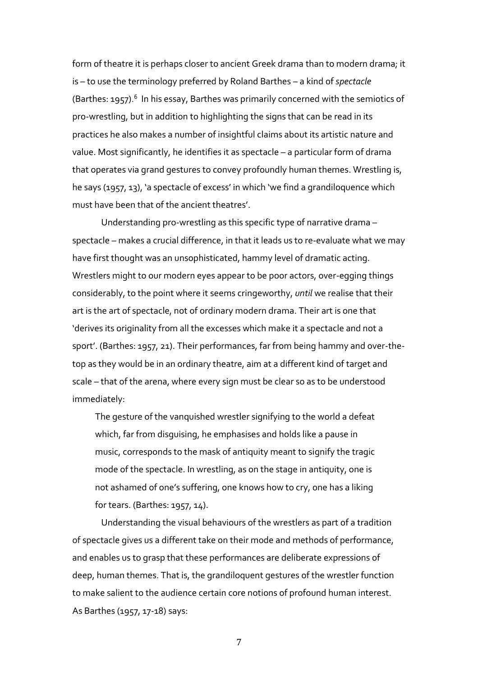form of theatre it is perhaps closer to ancient Greek drama than to modern drama; it is – to use the terminology preferred by Roland Barthes – a kind of *spectacle* (Barthes: 1957).<sup>6</sup> In his essay, Barthes was primarily concerned with the semiotics of pro-wrestling, but in addition to highlighting the signs that can be read in its practices he also makes a number of insightful claims about its artistic nature and value. Most significantly, he identifies it as spectacle – a particular form of drama that operates via grand gestures to convey profoundly human themes. Wrestling is, he says (1957, 13), 'a spectacle of excess' in which 'we find a grandiloquence which must have been that of the ancient theatres'.

Understanding pro-wrestling as this specific type of narrative drama – spectacle – makes a crucial difference, in that it leads us to re-evaluate what we may have first thought was an unsophisticated, hammy level of dramatic acting. Wrestlers might to our modern eyes appear to be poor actors, over-egging things considerably, to the point where it seems cringeworthy, *until* we realise that their art is the art of spectacle, not of ordinary modern drama. Their art is one that 'derives its originality from all the excesses which make it a spectacle and not a sport'. (Barthes: 1957, 21). Their performances, far from being hammy and over-thetop as they would be in an ordinary theatre, aim at a different kind of target and scale – that of the arena, where every sign must be clear so as to be understood immediately:

The gesture of the vanquished wrestler signifying to the world a defeat which, far from disguising, he emphasises and holds like a pause in music, corresponds to the mask of antiquity meant to signify the tragic mode of the spectacle. In wrestling, as on the stage in antiquity, one is not ashamed of one's suffering, one knows how to cry, one has a liking for tears. (Barthes: 1957, 14).

Understanding the visual behaviours of the wrestlers as part of a tradition of spectacle gives us a different take on their mode and methods of performance, and enables us to grasp that these performances are deliberate expressions of deep, human themes. That is, the grandiloquent gestures of the wrestler function to make salient to the audience certain core notions of profound human interest. As Barthes (1957, 17-18) says: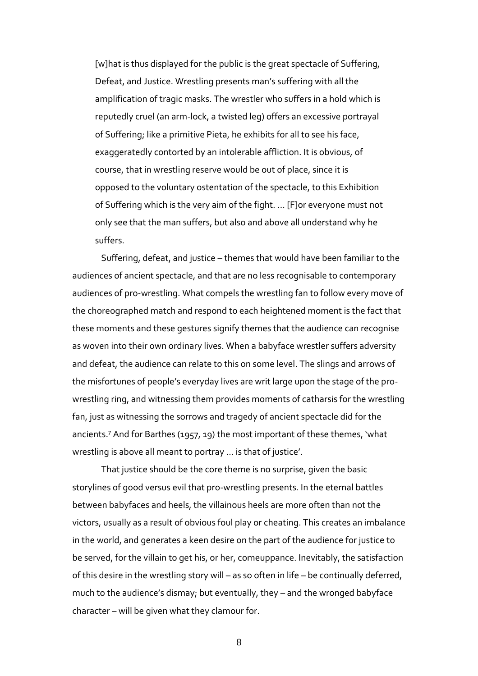[w]hat is thus displayed for the public is the great spectacle of Suffering, Defeat, and Justice. Wrestling presents man's suffering with all the amplification of tragic masks. The wrestler who suffers in a hold which is reputedly cruel (an arm-lock, a twisted leg) offers an excessive portrayal of Suffering; like a primitive Pieta, he exhibits for all to see his face, exaggeratedly contorted by an intolerable affliction. It is obvious, of course, that in wrestling reserve would be out of place, since it is opposed to the voluntary ostentation of the spectacle, to this Exhibition of Suffering which is the very aim of the fight. … [F]or everyone must not only see that the man suffers, but also and above all understand why he suffers.

Suffering, defeat, and justice – themes that would have been familiar to the audiences of ancient spectacle, and that are no less recognisable to contemporary audiences of pro-wrestling. What compels the wrestling fan to follow every move of the choreographed match and respond to each heightened moment is the fact that these moments and these gestures signify themes that the audience can recognise as woven into their own ordinary lives. When a babyface wrestler suffers adversity and defeat, the audience can relate to this on some level. The slings and arrows of the misfortunes of people's everyday lives are writ large upon the stage of the prowrestling ring, and witnessing them provides moments of catharsis for the wrestling fan, just as witnessing the sorrows and tragedy of ancient spectacle did for the ancients.<sup>7</sup> And for Barthes (1957, 19) the most important of these themes, 'what wrestling is above all meant to portray … is that of justice'.

That justice should be the core theme is no surprise, given the basic storylines of good versus evil that pro-wrestling presents. In the eternal battles between babyfaces and heels, the villainous heels are more often than not the victors, usually as a result of obvious foul play or cheating. This creates an imbalance in the world, and generates a keen desire on the part of the audience for justice to be served, for the villain to get his, or her, comeuppance. Inevitably, the satisfaction of this desire in the wrestling story will – as so often in life – be continually deferred, much to the audience's dismay; but eventually, they – and the wronged babyface character – will be given what they clamour for.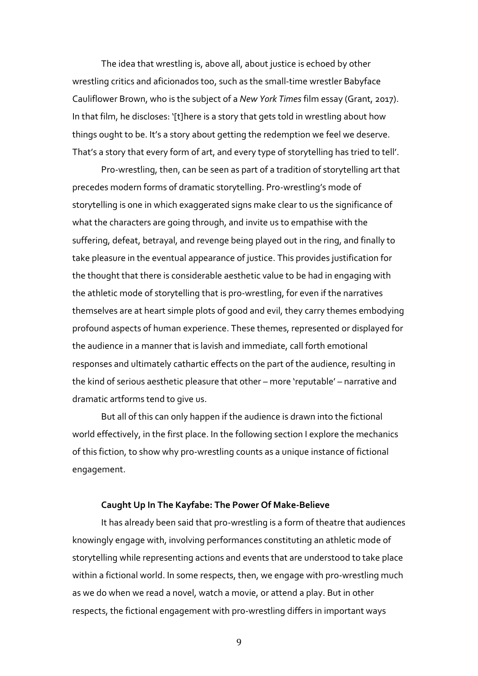The idea that wrestling is, above all, about justice is echoed by other wrestling critics and aficionados too, such as the small-time wrestler Babyface Cauliflower Brown, who is the subject of a *New York Times* film essay (Grant, 2017). In that film, he discloses: '[t]here is a story that gets told in wrestling about how things ought to be. It's a story about getting the redemption we feel we deserve. That's a story that every form of art, and every type of storytelling has tried to tell'.

Pro-wrestling, then, can be seen as part of a tradition of storytelling art that precedes modern forms of dramatic storytelling. Pro-wrestling's mode of storytelling is one in which exaggerated signs make clear to us the significance of what the characters are going through, and invite us to empathise with the suffering, defeat, betrayal, and revenge being played out in the ring, and finally to take pleasure in the eventual appearance of justice. This provides justification for the thought that there is considerable aesthetic value to be had in engaging with the athletic mode of storytelling that is pro-wrestling, for even if the narratives themselves are at heart simple plots of good and evil, they carry themes embodying profound aspects of human experience. These themes, represented or displayed for the audience in a manner that is lavish and immediate, call forth emotional responses and ultimately cathartic effects on the part of the audience, resulting in the kind of serious aesthetic pleasure that other – more 'reputable' – narrative and dramatic artforms tend to give us.

But all of this can only happen if the audience is drawn into the fictional world effectively, in the first place. In the following section I explore the mechanics of this fiction, to show why pro-wrestling counts as a unique instance of fictional engagement.

## **Caught Up In The Kayfabe: The Power Of Make-Believe**

It has already been said that pro-wrestling is a form of theatre that audiences knowingly engage with, involving performances constituting an athletic mode of storytelling while representing actions and events that are understood to take place within a fictional world. In some respects, then, we engage with pro-wrestling much as we do when we read a novel, watch a movie, or attend a play. But in other respects, the fictional engagement with pro-wrestling differs in important ways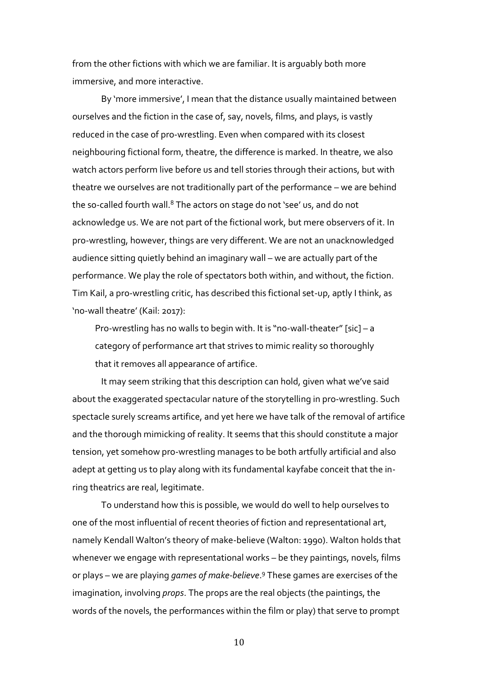from the other fictions with which we are familiar. It is arguably both more immersive, and more interactive.

By 'more immersive', I mean that the distance usually maintained between ourselves and the fiction in the case of, say, novels, films, and plays, is vastly reduced in the case of pro-wrestling. Even when compared with its closest neighbouring fictional form, theatre, the difference is marked. In theatre, we also watch actors perform live before us and tell stories through their actions, but with theatre we ourselves are not traditionally part of the performance – we are behind the so-called fourth wall.<sup>8</sup> The actors on stage do not 'see' us, and do not acknowledge us. We are not part of the fictional work, but mere observers of it. In pro-wrestling, however, things are very different. We are not an unacknowledged audience sitting quietly behind an imaginary wall – we are actually part of the performance. We play the role of spectators both within, and without, the fiction. Tim Kail, a pro-wrestling critic, has described this fictional set-up, aptly I think, as 'no-wall theatre' (Kail: 2017):

Pro-wrestling has no walls to begin with. It is "no-wall-theater" [sic] – a category of performance art that strives to mimic reality so thoroughly that it removes all appearance of artifice.

It may seem striking that this description can hold, given what we've said about the exaggerated spectacular nature of the storytelling in pro-wrestling. Such spectacle surely screams artifice, and yet here we have talk of the removal of artifice and the thorough mimicking of reality. It seems that this should constitute a major tension, yet somehow pro-wrestling manages to be both artfully artificial and also adept at getting us to play along with its fundamental kayfabe conceit that the inring theatrics are real, legitimate.

To understand how this is possible, we would do well to help ourselves to one of the most influential of recent theories of fiction and representational art, namely Kendall Walton's theory of make-believe (Walton: 1990). Walton holds that whenever we engage with representational works – be they paintings, novels, films or plays – we are playing *games of make-believe*. <sup>9</sup> These games are exercises of the imagination, involving *props*. The props are the real objects (the paintings, the words of the novels, the performances within the film or play) that serve to prompt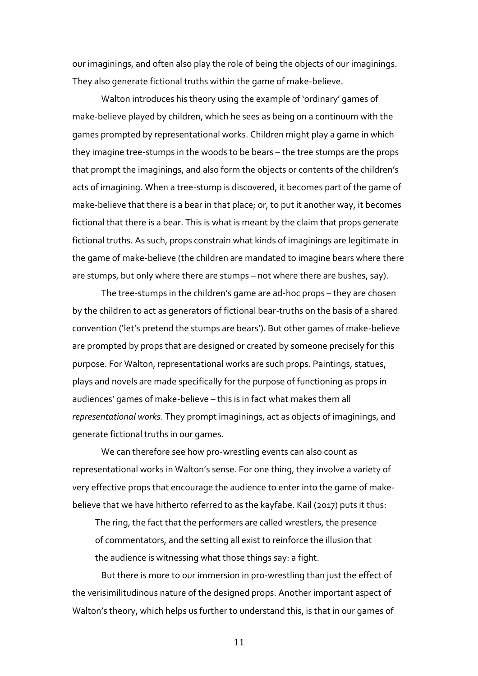our imaginings, and often also play the role of being the objects of our imaginings. They also generate fictional truths within the game of make-believe.

Walton introduces his theory using the example of 'ordinary' games of make-believe played by children, which he sees as being on a continuum with the games prompted by representational works. Children might play a game in which they imagine tree-stumps in the woods to be bears – the tree stumps are the props that prompt the imaginings, and also form the objects or contents of the children's acts of imagining. When a tree-stump is discovered, it becomes part of the game of make-believe that there is a bear in that place; or, to put it another way, it becomes fictional that there is a bear. This is what is meant by the claim that props generate fictional truths. As such, props constrain what kinds of imaginings are legitimate in the game of make-believe (the children are mandated to imagine bears where there are stumps, but only where there are stumps – not where there are bushes, say).

The tree-stumps in the children's game are ad-hoc props – they are chosen by the children to act as generators of fictional bear-truths on the basis of a shared convention ('let's pretend the stumps are bears'). But other games of make-believe are prompted by props that are designed or created by someone precisely for this purpose. For Walton, representational works are such props. Paintings, statues, plays and novels are made specifically for the purpose of functioning as props in audiences' games of make-believe – this is in fact what makes them all *representational works*. They prompt imaginings, act as objects of imaginings, and generate fictional truths in our games.

We can therefore see how pro-wrestling events can also count as representational works in Walton's sense. For one thing, they involve a variety of very effective props that encourage the audience to enter into the game of makebelieve that we have hitherto referred to as the kayfabe. Kail (2017) puts it thus:

The ring, the fact that the performers are called wrestlers, the presence of commentators, and the setting all exist to reinforce the illusion that the audience is witnessing what those things say: a fight.

But there is more to our immersion in pro-wrestling than just the effect of the verisimilitudinous nature of the designed props. Another important aspect of Walton's theory, which helps us further to understand this, is that in our games of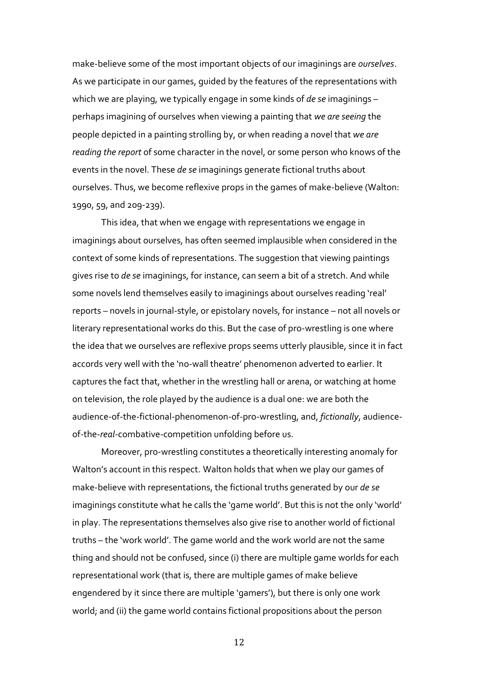make-believe some of the most important objects of our imaginings are *ourselves*. As we participate in our games, guided by the features of the representations with which we are playing, we typically engage in some kinds of *de se* imaginings – perhaps imagining of ourselves when viewing a painting that *we are seeing* the people depicted in a painting strolling by, or when reading a novel that *we are reading the report* of some character in the novel, or some person who knows of the events in the novel. These *de se* imaginings generate fictional truths about ourselves. Thus, we become reflexive props in the games of make-believe (Walton: 1990, 59, and 209-239).

This idea, that when we engage with representations we engage in imaginings about ourselves, has often seemed implausible when considered in the context of some kinds of representations. The suggestion that viewing paintings gives rise to *de se* imaginings, for instance, can seem a bit of a stretch. And while some novels lend themselves easily to imaginings about ourselves reading 'real' reports – novels in journal-style, or epistolary novels, for instance – not all novels or literary representational works do this. But the case of pro-wrestling is one where the idea that we ourselves are reflexive props seems utterly plausible, since it in fact accords very well with the 'no-wall theatre' phenomenon adverted to earlier. It captures the fact that, whether in the wrestling hall or arena, or watching at home on television, the role played by the audience is a dual one: we are both the audience-of-the-fictional-phenomenon-of-pro-wrestling, and, *fictionally*, audienceof-the-*real*-combative-competition unfolding before us.

Moreover, pro-wrestling constitutes a theoretically interesting anomaly for Walton's account in this respect. Walton holds that when we play our games of make-believe with representations, the fictional truths generated by our *de se* imaginings constitute what he calls the 'game world'. But this is not the only 'world' in play. The representations themselves also give rise to another world of fictional truths – the 'work world'. The game world and the work world are not the same thing and should not be confused, since (i) there are multiple game worlds for each representational work (that is, there are multiple games of make believe engendered by it since there are multiple 'gamers'), but there is only one work world; and (ii) the game world contains fictional propositions about the person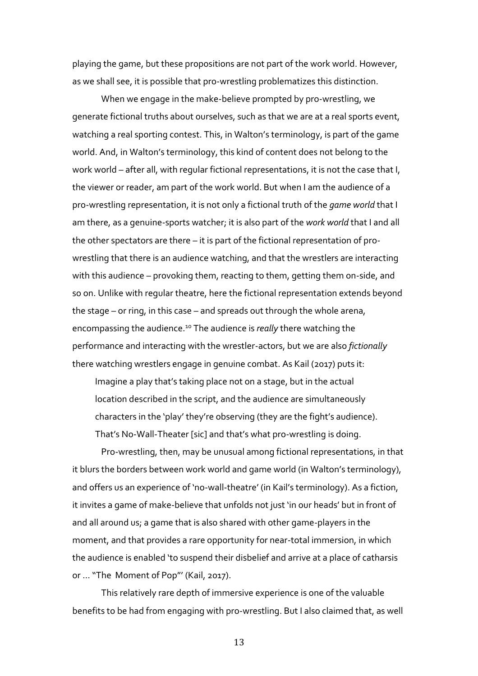playing the game, but these propositions are not part of the work world. However, as we shall see, it is possible that pro-wrestling problematizes this distinction.

When we engage in the make-believe prompted by pro-wrestling, we generate fictional truths about ourselves, such as that we are at a real sports event, watching a real sporting contest. This, in Walton's terminology, is part of the game world. And, in Walton's terminology, this kind of content does not belong to the work world – after all, with regular fictional representations, it is not the case that I, the viewer or reader, am part of the work world. But when I am the audience of a pro-wrestling representation, it is not only a fictional truth of the *game world* that I am there, as a genuine-sports watcher; it is also part of the *work world* that I and all the other spectators are there – it is part of the fictional representation of prowrestling that there is an audience watching, and that the wrestlers are interacting with this audience – provoking them, reacting to them, getting them on-side, and so on. Unlike with regular theatre, here the fictional representation extends beyond the stage – or ring, in this case – and spreads out through the whole arena, encompassing the audience.<sup>10</sup> The audience is *really* there watching the performance and interacting with the wrestler-actors, but we are also *fictionally* there watching wrestlers engage in genuine combat. As Kail (2017) puts it:

Imagine a play that's taking place not on a stage, but in the actual location described in the script, and the audience are simultaneously characters in the 'play' they're observing (they are the fight's audience). That's No-Wall-Theater [sic] and that's what pro-wrestling is doing.

Pro-wrestling, then, may be unusual among fictional representations, in that it blurs the borders between work world and game world (in Walton's terminology), and offers us an experience of 'no-wall-theatre' (in Kail's terminology). As a fiction, it invites a game of make-believe that unfolds not just 'in our heads' but in front of and all around us; a game that is also shared with other game-players in the moment, and that provides a rare opportunity for near-total immersion, in which the audience is enabled 'to suspend their disbelief and arrive at a place of catharsis or … "The Moment of Pop"' (Kail, 2017).

This relatively rare depth of immersive experience is one of the valuable benefits to be had from engaging with pro-wrestling. But I also claimed that, as well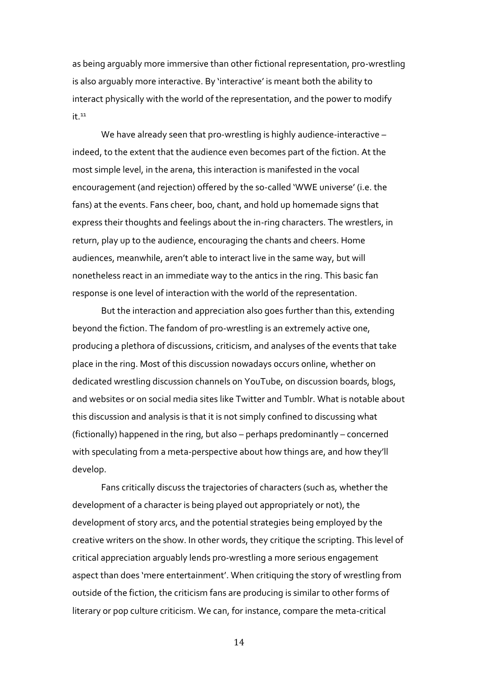as being arguably more immersive than other fictional representation, pro-wrestling is also arguably more interactive. By 'interactive' is meant both the ability to interact physically with the world of the representation, and the power to modify  $it.<sup>11</sup>$ 

We have already seen that pro-wrestling is highly audience-interactive – indeed, to the extent that the audience even becomes part of the fiction. At the most simple level, in the arena, this interaction is manifested in the vocal encouragement (and rejection) offered by the so-called 'WWE universe' (i.e. the fans) at the events. Fans cheer, boo, chant, and hold up homemade signs that express their thoughts and feelings about the in-ring characters. The wrestlers, in return, play up to the audience, encouraging the chants and cheers. Home audiences, meanwhile, aren't able to interact live in the same way, but will nonetheless react in an immediate way to the antics in the ring. This basic fan response is one level of interaction with the world of the representation.

But the interaction and appreciation also goes further than this, extending beyond the fiction. The fandom of pro-wrestling is an extremely active one, producing a plethora of discussions, criticism, and analyses of the events that take place in the ring. Most of this discussion nowadays occurs online, whether on dedicated wrestling discussion channels on YouTube, on discussion boards, blogs, and websites or on social media sites like Twitter and Tumblr. What is notable about this discussion and analysis is that it is not simply confined to discussing what (fictionally) happened in the ring, but also – perhaps predominantly – concerned with speculating from a meta-perspective about how things are, and how they'll develop.

Fans critically discuss the trajectories of characters (such as, whether the development of a character is being played out appropriately or not), the development of story arcs, and the potential strategies being employed by the creative writers on the show. In other words, they critique the scripting. This level of critical appreciation arguably lends pro-wrestling a more serious engagement aspect than does 'mere entertainment'. When critiquing the story of wrestling from outside of the fiction, the criticism fans are producing is similar to other forms of literary or pop culture criticism. We can, for instance, compare the meta-critical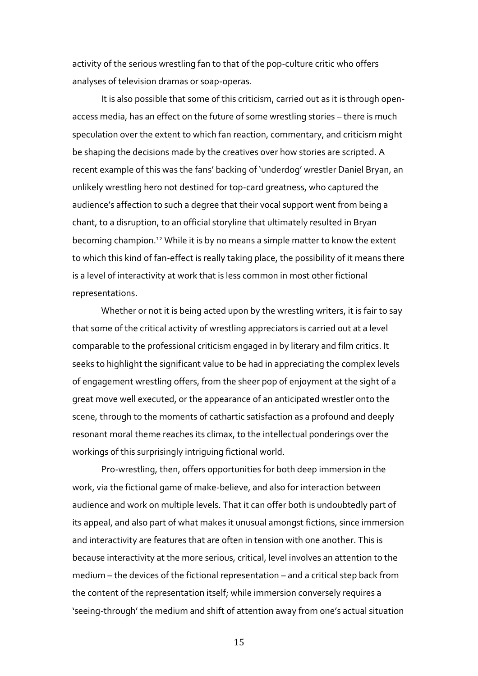activity of the serious wrestling fan to that of the pop-culture critic who offers analyses of television dramas or soap-operas.

It is also possible that some of this criticism, carried out as it is through openaccess media, has an effect on the future of some wrestling stories – there is much speculation over the extent to which fan reaction, commentary, and criticism might be shaping the decisions made by the creatives over how stories are scripted. A recent example of this was the fans' backing of 'underdog' wrestler Daniel Bryan, an unlikely wrestling hero not destined for top-card greatness, who captured the audience's affection to such a degree that their vocal support went from being a chant, to a disruption, to an official storyline that ultimately resulted in Bryan becoming champion.<sup>12</sup> While it is by no means a simple matter to know the extent to which this kind of fan-effect is really taking place, the possibility of it means there is a level of interactivity at work that is less common in most other fictional representations.

Whether or not it is being acted upon by the wrestling writers, it is fair to say that some of the critical activity of wrestling appreciators is carried out at a level comparable to the professional criticism engaged in by literary and film critics. It seeks to highlight the significant value to be had in appreciating the complex levels of engagement wrestling offers, from the sheer pop of enjoyment at the sight of a great move well executed, or the appearance of an anticipated wrestler onto the scene, through to the moments of cathartic satisfaction as a profound and deeply resonant moral theme reaches its climax, to the intellectual ponderings over the workings of this surprisingly intriguing fictional world.

Pro-wrestling, then, offers opportunities for both deep immersion in the work, via the fictional game of make-believe, and also for interaction between audience and work on multiple levels. That it can offer both is undoubtedly part of its appeal, and also part of what makes it unusual amongst fictions, since immersion and interactivity are features that are often in tension with one another. This is because interactivity at the more serious, critical, level involves an attention to the medium – the devices of the fictional representation – and a critical step back from the content of the representation itself; while immersion conversely requires a 'seeing-through' the medium and shift of attention away from one's actual situation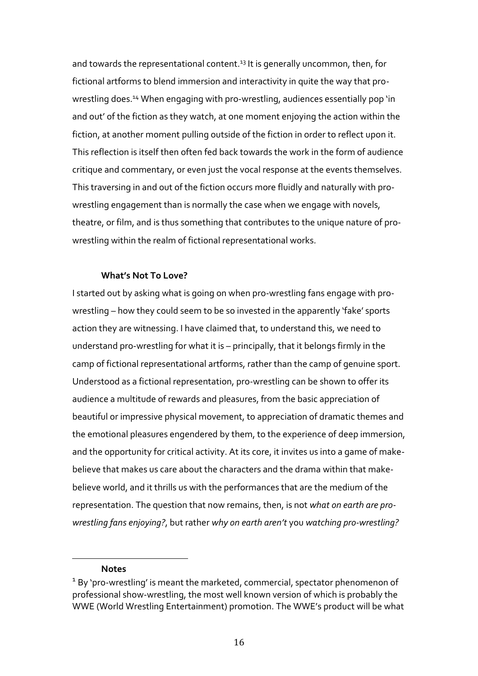and towards the representational content.<sup>13</sup> It is generally uncommon, then, for fictional artforms to blend immersion and interactivity in quite the way that prowrestling does.<sup>14</sup> When engaging with pro-wrestling, audiences essentially pop 'in and out' of the fiction as they watch, at one moment enjoying the action within the fiction, at another moment pulling outside of the fiction in order to reflect upon it. This reflection is itself then often fed back towards the work in the form of audience critique and commentary, or even just the vocal response at the events themselves. This traversing in and out of the fiction occurs more fluidly and naturally with prowrestling engagement than is normally the case when we engage with novels, theatre, or film, and is thus something that contributes to the unique nature of prowrestling within the realm of fictional representational works.

## **What's Not To Love?**

I started out by asking what is going on when pro-wrestling fans engage with prowrestling – how they could seem to be so invested in the apparently 'fake' sports action they are witnessing. I have claimed that, to understand this, we need to understand pro-wrestling for what it is – principally, that it belongs firmly in the camp of fictional representational artforms, rather than the camp of genuine sport. Understood as a fictional representation, pro-wrestling can be shown to offer its audience a multitude of rewards and pleasures, from the basic appreciation of beautiful or impressive physical movement, to appreciation of dramatic themes and the emotional pleasures engendered by them, to the experience of deep immersion, and the opportunity for critical activity. At its core, it invites us into a game of makebelieve that makes us care about the characters and the drama within that makebelieve world, and it thrills us with the performances that are the medium of the representation. The question that now remains, then, is not *what on earth are prowrestling fans enjoying?*, but rather *why on earth aren't* you *watching pro-wrestling?*

#### **Notes**

 $\overline{a}$ 

<sup>&</sup>lt;sup>1</sup> By 'pro-wrestling' is meant the marketed, commercial, spectator phenomenon of professional show-wrestling, the most well known version of which is probably the WWE (World Wrestling Entertainment) promotion. The WWE's product will be what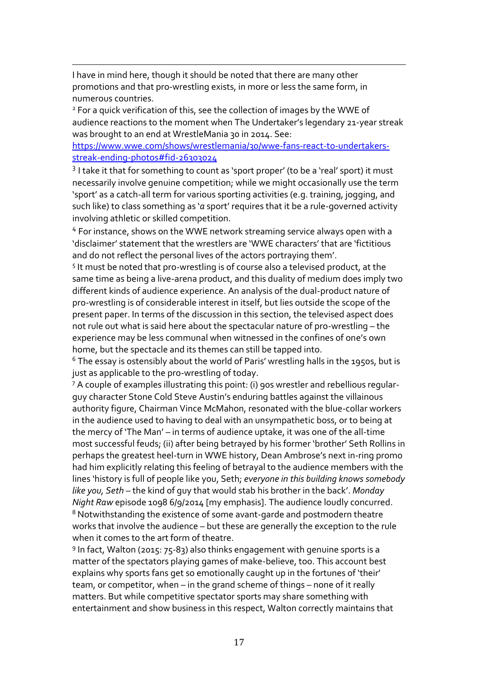$\overline{a}$ I have in mind here, though it should be noted that there are many other promotions and that pro-wrestling exists, in more or less the same form, in numerous countries.

<sup>2</sup> For a quick verification of this, see the collection of images by the WWE of audience reactions to the moment when The Undertaker's legendary 21-year streak was brought to an end at WrestleMania 30 in 2014. See:

[https://www.wwe.com/shows/wrestlemania/30/wwe-fans-react-to-undertakers](https://www.wwe.com/shows/wrestlemania/30/wwe-fans-react-to-undertakers-streak-ending-photos#fid-26303024)[streak-ending-photos#fid-26303024](https://www.wwe.com/shows/wrestlemania/30/wwe-fans-react-to-undertakers-streak-ending-photos#fid-26303024)

 $3$  I take it that for something to count as 'sport proper' (to be a 'real' sport) it must necessarily involve genuine competition; while we might occasionally use the term 'sport' as a catch-all term for various sporting activities (e.g. training, jogging, and such like) to class something as '*a* sport' requires that it be a rule-governed activity involving athletic or skilled competition.

4 For instance, shows on the WWE network streaming service always open with a 'disclaimer' statement that the wrestlers are 'WWE characters' that are 'fictitious and do not reflect the personal lives of the actors portraying them'.

5 It must be noted that pro-wrestling is of course also a televised product, at the same time as being a live-arena product, and this duality of medium does imply two different kinds of audience experience. An analysis of the dual-product nature of pro-wrestling is of considerable interest in itself, but lies outside the scope of the present paper. In terms of the discussion in this section, the televised aspect does not rule out what is said here about the spectacular nature of pro-wrestling – the experience may be less communal when witnessed in the confines of one's own home, but the spectacle and its themes can still be tapped into.

<sup>6</sup> The essay is ostensibly about the world of Paris' wrestling halls in the 1950s, but is just as applicable to the pro-wrestling of today.

<sup>7</sup> A couple of examples illustrating this point: (i) 90s wrestler and rebellious regularguy character Stone Cold Steve Austin's enduring battles against the villainous authority figure, Chairman Vince McMahon, resonated with the blue-collar workers in the audience used to having to deal with an unsympathetic boss, or to being at the mercy of 'The Man' – in terms of audience uptake, it was one of the all-time most successful feuds; (ii) after being betrayed by his former 'brother' Seth Rollins in perhaps the greatest heel-turn in WWE history, Dean Ambrose's next in-ring promo had him explicitly relating this feeling of betrayal to the audience members with the lines 'history is full of people like you, Seth; *everyone in this building knows somebody like you, Seth* – the kind of guy that would stab his brother in the back'. *Monday Night Raw* episode 1098 6/9/2014 [my emphasis]. The audience loudly concurred. <sup>8</sup> Notwithstanding the existence of some avant-garde and postmodern theatre works that involve the audience – but these are generally the exception to the rule when it comes to the art form of theatre.

9 In fact, Walton (2015: 75-83) also thinks engagement with genuine sports is a matter of the spectators playing games of make-believe, too. This account best explains why sports fans get so emotionally caught up in the fortunes of 'their' team, or competitor, when – in the grand scheme of things – none of it really matters. But while competitive spectator sports may share something with entertainment and show business in this respect, Walton correctly maintains that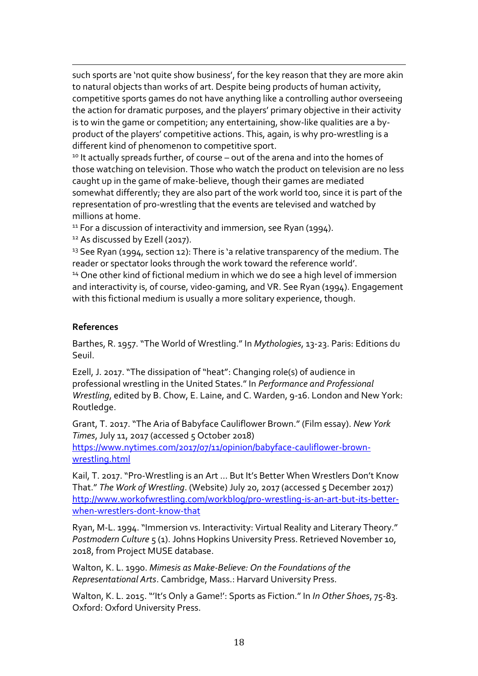$\overline{a}$ such sports are 'not quite show business', for the key reason that they are more akin to natural objects than works of art. Despite being products of human activity, competitive sports games do not have anything like a controlling author overseeing the action for dramatic purposes, and the players' primary objective in their activity is to win the game or competition; any entertaining, show-like qualities are a byproduct of the players' competitive actions. This, again, is why pro-wrestling is a different kind of phenomenon to competitive sport.

<sup>10</sup> It actually spreads further, of course – out of the arena and into the homes of those watching on television. Those who watch the product on television are no less caught up in the game of make-believe, though their games are mediated somewhat differently; they are also part of the work world too, since it is part of the representation of pro-wrestling that the events are televised and watched by millions at home.

<sup>11</sup> For a discussion of interactivity and immersion, see Ryan (1994).

<sup>12</sup> As discussed by Ezell (2017).

 $13$  See Ryan (1994, section 12): There is 'a relative transparency of the medium. The reader or spectator looks through the work toward the reference world'.

<sup>14</sup> One other kind of fictional medium in which we do see a high level of immersion and interactivity is, of course, video-gaming, and VR. See Ryan (1994). Engagement with this fictional medium is usually a more solitary experience, though.

## **References**

Barthes, R. 1957. "The World of Wrestling." In *Mythologies*, 13-23. Paris: Editions du Seuil.

Ezell, J. 2017. "The dissipation of "heat": Changing role(s) of audience in professional wrestling in the United States." In *Performance and Professional Wrestling*, edited by B. Chow, E. Laine, and C. Warden, 9-16. London and New York: Routledge.

Grant, T. 2017. "The Aria of Babyface Cauliflower Brown." (Film essay). *New York Times*, July 11, 2017 (accessed 5 October 2018)

[https://www.nytimes.com/2017/07/11/opinion/babyface-cauliflower-brown](https://www.nytimes.com/2017/07/11/opinion/babyface-cauliflower-brown-wrestling.html)[wrestling.html](https://www.nytimes.com/2017/07/11/opinion/babyface-cauliflower-brown-wrestling.html)

Kail, T. 2017. "Pro-Wrestling is an Art … But It's Better When Wrestlers Don't Know That." *The Work of Wrestling*. (Website) July 20, 2017 (accessed 5 December 2017) [http://www.workofwrestling.com/workblog/pro-wrestling-is-an-art-but-its-better](http://www.workofwrestling.com/workblog/pro-wrestling-is-an-art-but-its-better-when-wrestlers-dont-know-that)[when-wrestlers-dont-know-that](http://www.workofwrestling.com/workblog/pro-wrestling-is-an-art-but-its-better-when-wrestlers-dont-know-that)

Ryan, M-L. 1994. "Immersion vs. Interactivity: Virtual Reality and Literary Theory." *Postmodern Culture* 5 (1). Johns Hopkins University Press. Retrieved November 10, 2018, from Project MUSE database.

Walton, K. L. 1990. *Mimesis as Make-Believe: On the Foundations of the Representational Arts*. Cambridge, Mass.: Harvard University Press.

Walton, K. L. 2015. "'It's Only a Game!': Sports as Fiction." In *In Other Shoes*, 75-83. Oxford: Oxford University Press.